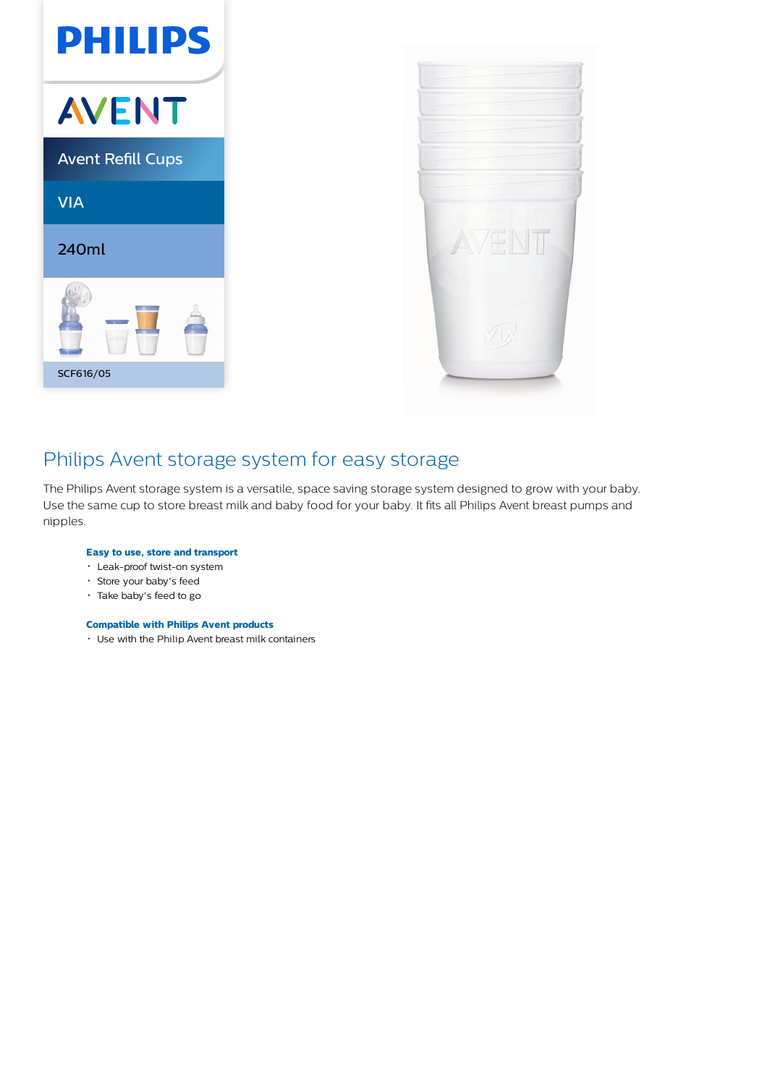



## Philips Avent storage system for easy storage

The Philips Avent storage system is a versatile, space saving storage system designed to grow with your baby. Use the same cup to store breast milk and baby food for your baby. It fits all Philips Avent breast pumps and nipples.

### **Easy to use, store and transport**

- Leak-proof twist-on system
- Store your baby's feed
- Take baby's feed to go

## **Compatible with Philips Avent products**

Use with the Philip Avent breast milk containers